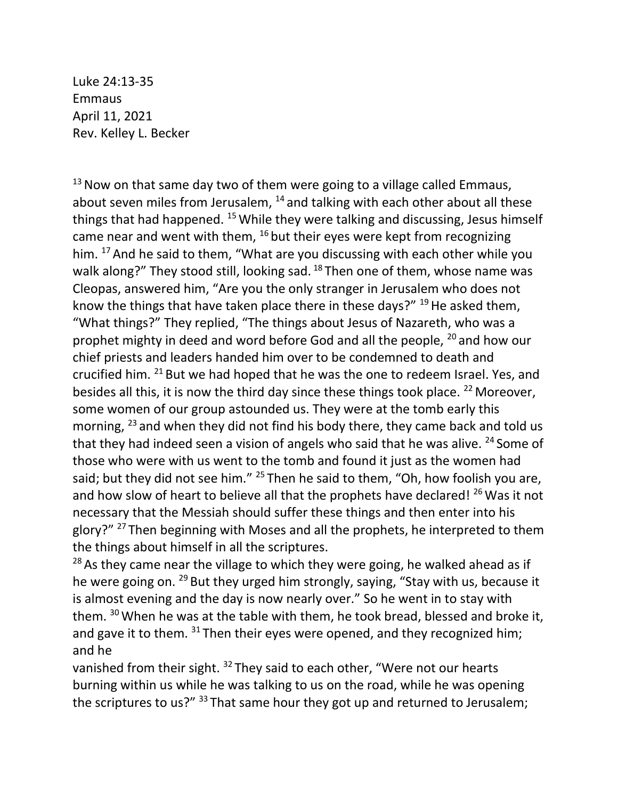Luke 24:13-35 Emmaus April 11, 2021 Rev. Kelley L. Becker

 $13$  Now on that same day two of them were going to a village called Emmaus, about seven miles from Jerusalem,  $14$  and talking with each other about all these things that had happened.  $15$  While they were talking and discussing, Jesus himself came near and went with them,  $16$  but their eyes were kept from recognizing him. <sup>17</sup> And he said to them, "What are you discussing with each other while you walk along?" They stood still, looking sad. <sup>18</sup> Then one of them, whose name was Cleopas, answered him, "Are you the only stranger in Jerusalem who does not know the things that have taken place there in these days?"  $^{19}$  He asked them, "What things?" They replied, "The things about Jesus of Nazareth, who was a prophet mighty in deed and word before God and all the people, <sup>20</sup> and how our chief priests and leaders handed him over to be condemned to death and crucified him. <sup>21</sup> But we had hoped that he was the one to redeem Israel. Yes, and besides all this, it is now the third day since these things took place. <sup>22</sup> Moreover, some women of our group astounded us. They were at the tomb early this morning, <sup>23</sup> and when they did not find his body there, they came back and told us that they had indeed seen a vision of angels who said that he was alive.  $24$  Some of those who were with us went to the tomb and found it just as the women had said; but they did not see him." <sup>25</sup> Then he said to them, "Oh, how foolish you are, and how slow of heart to believe all that the prophets have declared! <sup>26</sup> Was it not necessary that the Messiah should suffer these things and then enter into his glory?" <sup>27</sup> Then beginning with Moses and all the prophets, he interpreted to them the things about himself in all the scriptures.

 $28$  As they came near the village to which they were going, he walked ahead as if he were going on. <sup>29</sup> But they urged him strongly, saying, "Stay with us, because it is almost evening and the day is now nearly over." So he went in to stay with them.  $30$  When he was at the table with them, he took bread, blessed and broke it, and gave it to them.  $31$  Then their eyes were opened, and they recognized him; and he

vanished from their sight. <sup>32</sup> They said to each other, "Were not our hearts burning within us while he was talking to us on the road, while he was opening the scriptures to us?" 33 That same hour they got up and returned to Jerusalem;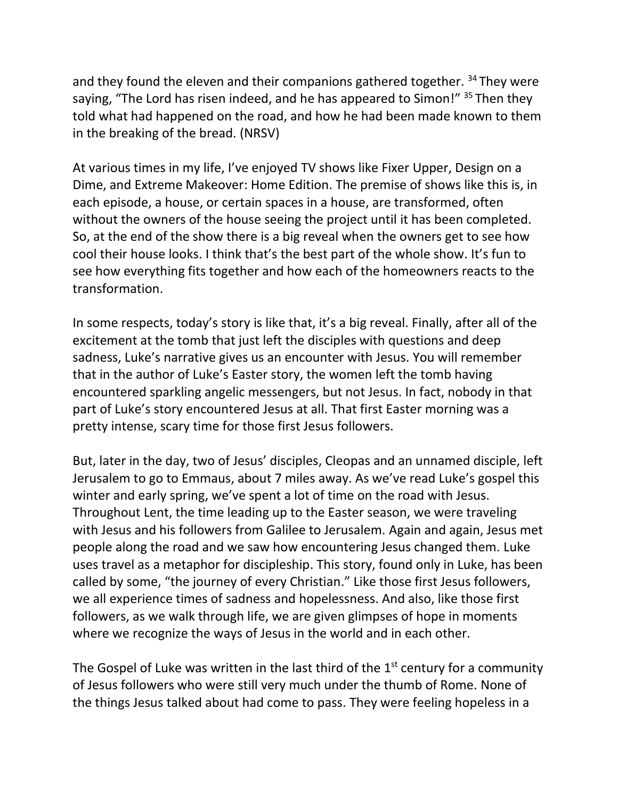and they found the eleven and their companions gathered together. <sup>34</sup> They were saying, "The Lord has risen indeed, and he has appeared to Simon!" <sup>35</sup> Then they told what had happened on the road, and how he had been made known to them in the breaking of the bread. (NRSV)

At various times in my life, I've enjoyed TV shows like Fixer Upper, Design on a Dime, and Extreme Makeover: Home Edition. The premise of shows like this is, in each episode, a house, or certain spaces in a house, are transformed, often without the owners of the house seeing the project until it has been completed. So, at the end of the show there is a big reveal when the owners get to see how cool their house looks. I think that's the best part of the whole show. It's fun to see how everything fits together and how each of the homeowners reacts to the transformation.

In some respects, today's story is like that, it's a big reveal. Finally, after all of the excitement at the tomb that just left the disciples with questions and deep sadness, Luke's narrative gives us an encounter with Jesus. You will remember that in the author of Luke's Easter story, the women left the tomb having encountered sparkling angelic messengers, but not Jesus. In fact, nobody in that part of Luke's story encountered Jesus at all. That first Easter morning was a pretty intense, scary time for those first Jesus followers.

But, later in the day, two of Jesus' disciples, Cleopas and an unnamed disciple, left Jerusalem to go to Emmaus, about 7 miles away. As we've read Luke's gospel this winter and early spring, we've spent a lot of time on the road with Jesus. Throughout Lent, the time leading up to the Easter season, we were traveling with Jesus and his followers from Galilee to Jerusalem. Again and again, Jesus met people along the road and we saw how encountering Jesus changed them. Luke uses travel as a metaphor for discipleship. This story, found only in Luke, has been called by some, "the journey of every Christian." Like those first Jesus followers, we all experience times of sadness and hopelessness. And also, like those first followers, as we walk through life, we are given glimpses of hope in moments where we recognize the ways of Jesus in the world and in each other.

The Gospel of Luke was written in the last third of the  $1<sup>st</sup>$  century for a community of Jesus followers who were still very much under the thumb of Rome. None of the things Jesus talked about had come to pass. They were feeling hopeless in a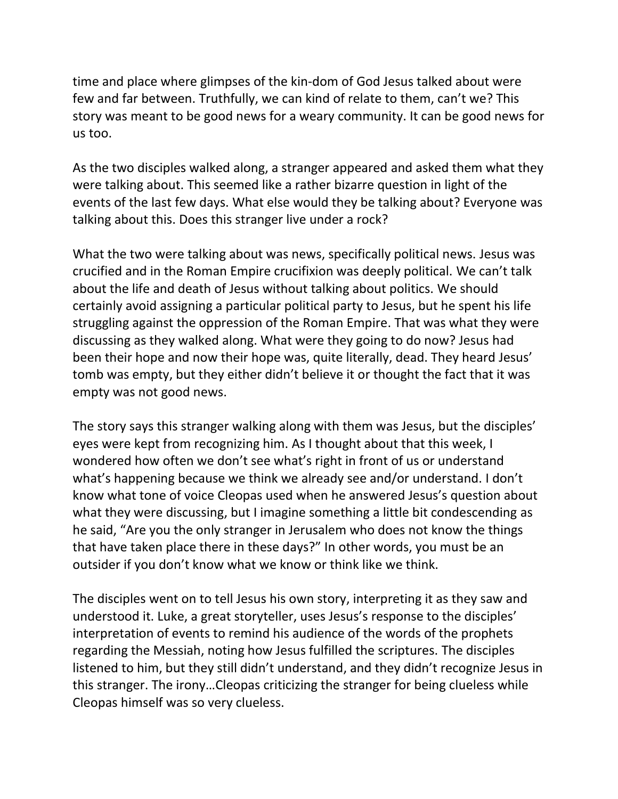time and place where glimpses of the kin-dom of God Jesus talked about were few and far between. Truthfully, we can kind of relate to them, can't we? This story was meant to be good news for a weary community. It can be good news for us too.

As the two disciples walked along, a stranger appeared and asked them what they were talking about. This seemed like a rather bizarre question in light of the events of the last few days. What else would they be talking about? Everyone was talking about this. Does this stranger live under a rock?

What the two were talking about was news, specifically political news. Jesus was crucified and in the Roman Empire crucifixion was deeply political. We can't talk about the life and death of Jesus without talking about politics. We should certainly avoid assigning a particular political party to Jesus, but he spent his life struggling against the oppression of the Roman Empire. That was what they were discussing as they walked along. What were they going to do now? Jesus had been their hope and now their hope was, quite literally, dead. They heard Jesus' tomb was empty, but they either didn't believe it or thought the fact that it was empty was not good news.

The story says this stranger walking along with them was Jesus, but the disciples' eyes were kept from recognizing him. As I thought about that this week, I wondered how often we don't see what's right in front of us or understand what's happening because we think we already see and/or understand. I don't know what tone of voice Cleopas used when he answered Jesus's question about what they were discussing, but I imagine something a little bit condescending as he said, "Are you the only stranger in Jerusalem who does not know the things that have taken place there in these days?" In other words, you must be an outsider if you don't know what we know or think like we think.

The disciples went on to tell Jesus his own story, interpreting it as they saw and understood it. Luke, a great storyteller, uses Jesus's response to the disciples' interpretation of events to remind his audience of the words of the prophets regarding the Messiah, noting how Jesus fulfilled the scriptures. The disciples listened to him, but they still didn't understand, and they didn't recognize Jesus in this stranger. The irony…Cleopas criticizing the stranger for being clueless while Cleopas himself was so very clueless.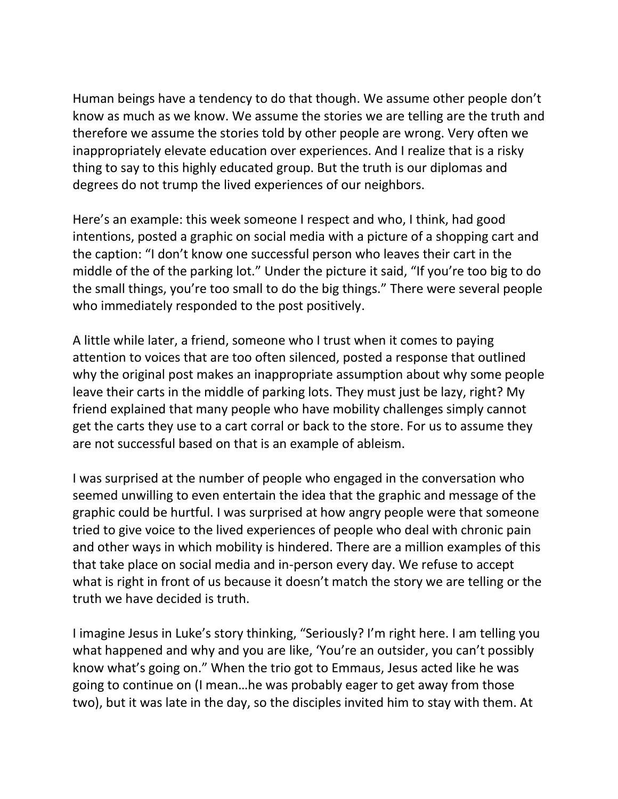Human beings have a tendency to do that though. We assume other people don't know as much as we know. We assume the stories we are telling are the truth and therefore we assume the stories told by other people are wrong. Very often we inappropriately elevate education over experiences. And I realize that is a risky thing to say to this highly educated group. But the truth is our diplomas and degrees do not trump the lived experiences of our neighbors.

Here's an example: this week someone I respect and who, I think, had good intentions, posted a graphic on social media with a picture of a shopping cart and the caption: "I don't know one successful person who leaves their cart in the middle of the of the parking lot." Under the picture it said, "If you're too big to do the small things, you're too small to do the big things." There were several people who immediately responded to the post positively.

A little while later, a friend, someone who I trust when it comes to paying attention to voices that are too often silenced, posted a response that outlined why the original post makes an inappropriate assumption about why some people leave their carts in the middle of parking lots. They must just be lazy, right? My friend explained that many people who have mobility challenges simply cannot get the carts they use to a cart corral or back to the store. For us to assume they are not successful based on that is an example of ableism.

I was surprised at the number of people who engaged in the conversation who seemed unwilling to even entertain the idea that the graphic and message of the graphic could be hurtful. I was surprised at how angry people were that someone tried to give voice to the lived experiences of people who deal with chronic pain and other ways in which mobility is hindered. There are a million examples of this that take place on social media and in-person every day. We refuse to accept what is right in front of us because it doesn't match the story we are telling or the truth we have decided is truth.

I imagine Jesus in Luke's story thinking, "Seriously? I'm right here. I am telling you what happened and why and you are like, 'You're an outsider, you can't possibly know what's going on." When the trio got to Emmaus, Jesus acted like he was going to continue on (I mean…he was probably eager to get away from those two), but it was late in the day, so the disciples invited him to stay with them. At